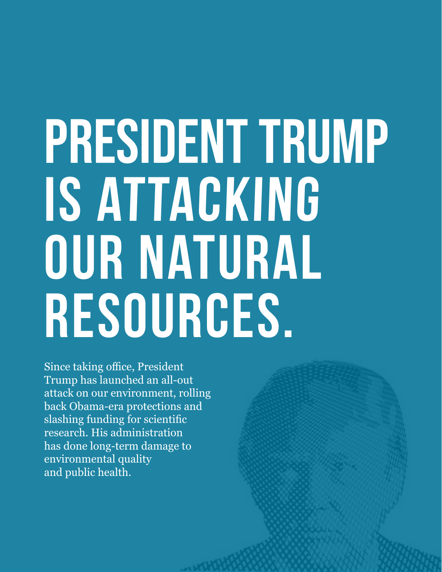# PRESIDENT TRUMP **is attacking our Natural Resources.**

Since taking office, President Trump has launched an all-out attack on our environment, rolling back Obama-era protections and slashing funding for scientific research. His administration has done long-term damage to environmental quality and public health.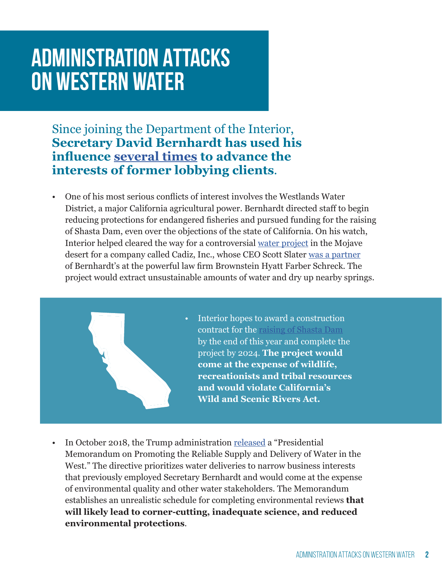### **Administration Attacks on Western Water**

Since joining the Department of the Interior, **Secretary David Bernhardt has used his influence [several times](https://www.nytimes.com/2019/02/12/climate/david-bernhardt-endangered-species.html) to advance the interests of former lobbying clients**.

• One of his most serious conflicts of interest involves the Westlands Water District, a major California agricultural power. Bernhardt directed staff to begin reducing protections for endangered fisheries and pursued funding for the raising of Shasta Dam, even over the objections of the state of California. On his watch, Interior helped cleared the way for a controversial [water project](https://www.latimes.com/local/lanow/la-me-cadiz-blm-20171016-story.html) in the Mojave desert for a company called Cadiz, Inc., whose CEO Scott Slater [was a partner](https://www.kcet.org/shows/artbound/the-trouble-with-cadiz) of Bernhardt's at the powerful law firm Brownstein Hyatt Farber Schreck. The project would extract unsustainable amounts of water and dry up nearby springs.



- Interior hopes to award a construction contract for the [raising of Shasta Dam](https://www.usbr.gov/mp/ncao/shasta-enlargement.html) by the end of this year and complete the project by 2024. **The project would come at the expense of wildlife, recreationists and tribal resources and would violate California's Wild and Scenic Rivers Act.**
- In October 2018, the Trump administration [released](https://www.whitehouse.gov/presidential-actions/presidential-memorandum-promoting-reliable-supply-delivery-water-west/) a "Presidential Memorandum on Promoting the Reliable Supply and Delivery of Water in the West." The directive prioritizes water deliveries to narrow business interests that previously employed Secretary Bernhardt and would come at the expense of environmental quality and other water stakeholders. The Memorandum establishes an unrealistic schedule for completing environmental reviews **that will likely lead to corner-cutting, inadequate science, and reduced environmental protections**.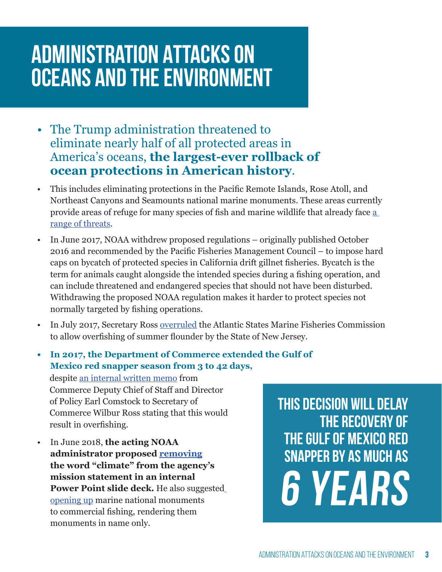### **Administration Attacks on oceans and the environment**

- The Trump administration threatened to eliminate nearly half of all protected areas in America's oceans, **the largest-ever rollback of ocean protections in American history**.
- This includes eliminating protections in the Pacific Remote Islands, Rose Atoll, and Northeast Canyons and Seamounts national marine monuments. These areas currently provide areas of refuge for many species of fish and marine wildlife that already face [a](https://insideclimatenews.org/news/25062018/noaa-mission-climate-change-science-weather-research-oceans-coasts-timothy-gallaudet-trump)  [range of threats.](https://insideclimatenews.org/news/25062018/noaa-mission-climate-change-science-weather-research-oceans-coasts-timothy-gallaudet-trump)
- In June 2017, NOAA withdrew proposed regulations originally published October 2016 and recommended by the Pacific Fisheries Management Council – to impose hard caps on bycatch of protected species in California drift gillnet fisheries. Bycatch is the term for animals caught alongside the intended species during a fishing operation, and can include threatened and endangered species that should not have been disturbed. Withdrawing the proposed NOAA regulation makes it harder to protect species not normally targeted by fishing operations.
- In July 2017, Secretary Ross [overruled](https://www.asmfc.org/uploads/file/5968fe9dpr29SummerFlounderNJCompliance.pdf) the Atlantic States Marine Fisheries Commission to allow overfishing of summer flounder by the State of New Jersey.
- **• In 2017, the Department of Commerce extended the Gulf of Mexico red snapper season from 3 to 42 days,**  despite [an internal written memo](https://www.sciencemag.org/news/2017/12/extending-red-snapper-season-might-have-broken-us-law) from Commerce Deputy Chief of Staff and Director of Policy Earl Comstock to Secretary of Commerce Wilbur Ross stating that this would result in overfishing.
- In June 2018, the acting NOAA **Fig. 2018 SNAPPER BY AS MUCH AS** *SNAPPER BY AS MUCH AS* **administrator proposed [removing](https://www.washingtonpost.com/news/energy-environment/wp/2018/06/25/ocean-science-agency-chief-suggests-removing-climate-from-mission-statement-adding-focus-on-trade-deficit/?noredirect=on&utm_term=.70adf59a4dfb) the word "climate" from the agency's mission statement in an internal Power Point slide deck.** He also suggeste[d](https://www.huffpost.com/entry/marine-monuments-commercial-fishing_n_5b3e945be4b05127ccf05a35?guccounter=1) [opening up](https://www.huffpost.com/entry/marine-monuments-commercial-fishing_n_5b3e945be4b05127ccf05a35?guccounter=1) marine national monuments to commercial fishing, rendering them monuments in name only.

**This decision will delay the recovery of the gulf of mexico red 6 years**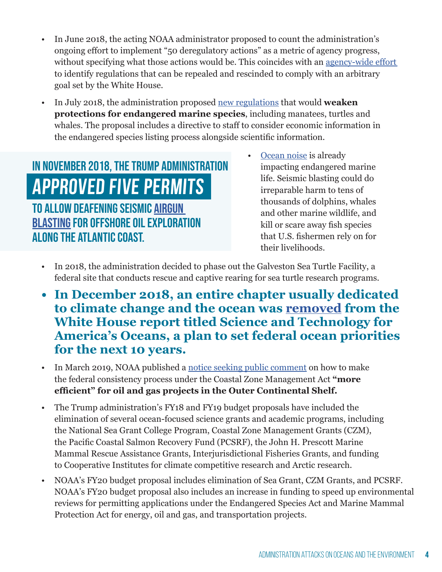- In June 2018, the acting NOAA administrator proposed to count the administration's ongoing effort to implement "50 deregulatory actions" as a metric of agency progress, without specifying what those actions would be. This coincides with an agency-wide effort to identify regulations that can be repealed and rescinded to comply with an arbitrary goal set by the White House.
- In July 2018, the administration proposed [new regulations](https://www.washingtonpost.com/news/animalia/wp/2018/07/19/endangered-species-act-stripped-of-key-provisions-in-trump-administration-proposal/?utm_term=.6b0ff35d3d4d) that would **weaken protections for endangered marine species**, including manatees, turtles and whales. The proposal includes a directive to staff to consider economic information in the endangered species listing process alongside scientific information.

#### IN NOVEMBER 2018, THE TRUMP ADMINISTRATION • [Ocean noise](https://www.nytimes.com/2019/01/22/science/oceans-whales-noise-offshore-drilling.html) is already impacting endangered to allow deafening seismic [airgun](https://www.nationalgeographic.com/environment/2018/11/noaa-approves-seismic-airgun-blasting-oil-gas-drilling-atlantic-ocean/)  [blasting](https://www.nationalgeographic.com/environment/2018/11/noaa-approves-seismic-airgun-blasting-oil-gas-drilling-atlantic-ocean/) for offshore oil exploration along the Atlantic Coast. **approved five permits**

- impacting endangered marine life. Seismic blasting could do irreparable harm to tens of thousands of dolphins, whales and other marine wildlife, and kill or scare away fish species that U.S. fishermen rely on for their livelihoods.
- In 2018, the administration decided to phase out the Galveston Sea Turtle Facility, a federal site that conducts rescue and captive rearing for sea turtle research programs.
- **• In December 2018, an entire chapter usually dedicated to climate change and the ocean was [removed](https://www.eenews.net/stories/1060108831) from the White House report titled Science and Technology for America's Oceans, a plan to set federal ocean priorities for the next 10 years.**
- In March 2019, NOAA published a [notice seeking public comment](https://www.federalregister.gov/documents/2019/03/11/2019-04199/procedural-changes-to-the-coastal-zone-management-act-federal-consistency-process) on how to make the federal consistency process under the Coastal Zone Management Act **"more efficient" for oil and gas projects in the Outer Continental Shelf.**
- The Trump administration's FY18 and FY19 budget proposals have included the elimination of several ocean-focused science grants and academic programs, including the National Sea Grant College Program, Coastal Zone Management Grants (CZM), the Pacific Coastal Salmon Recovery Fund (PCSRF), the John H. Prescott Marine Mammal Rescue Assistance Grants, Interjurisdictional Fisheries Grants, and funding to Cooperative Institutes for climate competitive research and Arctic research.
- NOAA's FY20 budget proposal includes elimination of Sea Grant, CZM Grants, and PCSRF. NOAA's FY20 budget proposal also includes an increase in funding to speed up environmental reviews for permitting applications under the Endangered Species Act and Marine Mammal Protection Act for energy, oil and gas, and transportation projects.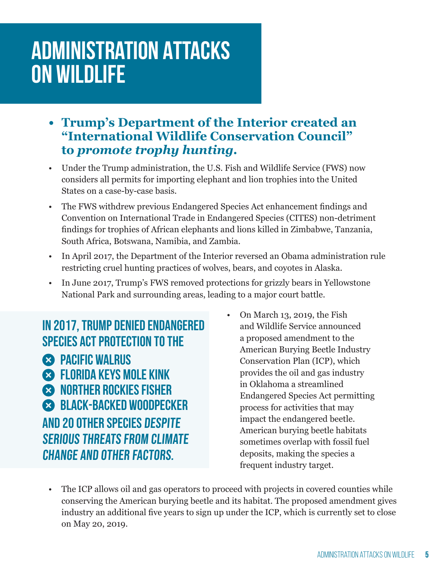### **Administration Attacks on wildlife**

- **• Trump's Department of the Interior created an "International Wildlife Conservation Council" to** *promote trophy hunting.*
- Under the Trump administration, the U.S. Fish and Wildlife Service (FWS) now considers all permits for importing elephant and lion trophies into the United States on a case-by-case basis.
- The FWS withdrew previous Endangered Species Act enhancement findings and Convention on International Trade in Endangered Species (CITES) non-detriment findings for trophies of African elephants and lions killed in Zimbabwe, Tanzania, South Africa, Botswana, Namibia, and Zambia.
- In April 2017, the Department of the Interior reversed an Obama administration rule restricting cruel hunting practices of wolves, bears, and coyotes in Alaska.
- In June 2017, Trump's FWS removed protections for grizzly bears in Yellowstone National Park and surrounding areas, leading to a major court battle.

**Pacific walrus Florida Keys mole kink norther Rockies fisher black-backed woodpecker** and 20 other species despite serious threats from climate change and other factors. In 2017, Trump denied Endangered Species Act protection to the

• On March 13, 2019, the Fish and Wildlife Service announced a proposed amendment to the American Burying Beetle Industry Conservation Plan (ICP), which provides the oil and gas industry in Oklahoma a streamlined Endangered Species Act permitting process for activities that may impact the endangered beetle. American burying beetle habitats sometimes overlap with fossil fuel deposits, making the species a frequent industry target.

• The ICP allows oil and gas operators to proceed with projects in covered counties while conserving the American burying beetle and its habitat. The proposed amendment gives industry an additional five years to sign up under the ICP, which is currently set to close on May 20, 2019.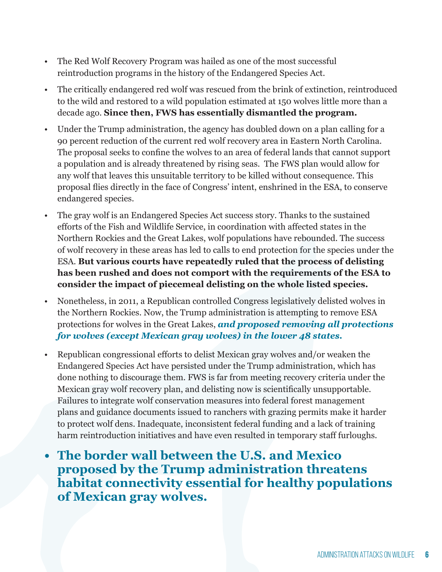- The Red Wolf Recovery Program was hailed as one of the most successful reintroduction programs in the history of the Endangered Species Act.
- The critically endangered red wolf was rescued from the brink of extinction, reintroduced to the wild and restored to a wild population estimated at 150 wolves little more than a decade ago. **Since then, FWS has essentially dismantled the program.**
- Under the Trump administration, the agency has doubled down on a plan calling for a 90 percent reduction of the current red wolf recovery area in Eastern North Carolina. The proposal seeks to confine the wolves to an area of federal lands that cannot support a population and is already threatened by rising seas. The FWS plan would allow for any wolf that leaves this unsuitable territory to be killed without consequence. This proposal flies directly in the face of Congress' intent, enshrined in the ESA, to conserve endangered species.
- The gray wolf is an Endangered Species Act success story. Thanks to the sustained efforts of the Fish and Wildlife Service, in coordination with affected states in the Northern Rockies and the Great Lakes, wolf populations have rebounded. The success of wolf recovery in these areas has led to calls to end protection for the species under the ESA. **But various courts have repeatedly ruled that the process of delisting has been rushed and does not comport with the requirements of the ESA to consider the impact of piecemeal delisting on the whole listed species.**
- Nonetheless, in 2011, a Republican controlled Congress legislatively delisted wolves in the Northern Rockies. Now, the Trump administration is attempting to remove ESA protections for wolves in the Great Lakes, *and proposed removing all protections for wolves (except Mexican gray wolves) in the lower 48 states.*
- Republican congressional efforts to delist Mexican gray wolves and/or weaken the Endangered Species Act have persisted under the Trump administration, which has done nothing to discourage them. FWS is far from meeting recovery criteria under the Mexican gray wolf recovery plan, and delisting now is scientifically unsupportable. Failures to integrate wolf conservation measures into federal forest management plans and guidance documents issued to ranchers with grazing permits make it harder to protect wolf dens. Inadequate, inconsistent federal funding and a lack of training harm reintroduction initiatives and have even resulted in temporary staff furloughs.
- **• The border wall between the U.S. and Mexico proposed by the Trump administration threatens habitat connectivity essential for healthy populations of Mexican gray wolves.**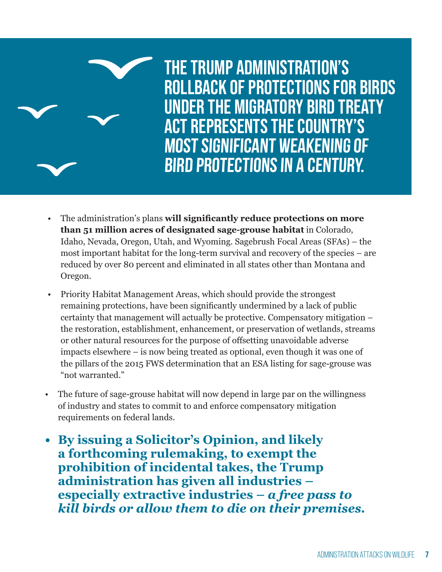

- The administration's plans **will significantly reduce protections on more than 51 million acres of designated sage-grouse habitat** in Colorado, Idaho, Nevada, Oregon, Utah, and Wyoming. Sagebrush Focal Areas (SFAs) – the most important habitat for the long-term survival and recovery of the species – are reduced by over 80 percent and eliminated in all states other than Montana and Oregon.
- Priority Habitat Management Areas, which should provide the strongest remaining protections, have been significantly undermined by a lack of public certainty that management will actually be protective. Compensatory mitigation – the restoration, establishment, enhancement, or preservation of wetlands, streams or other natural resources for the purpose of offsetting unavoidable adverse impacts elsewhere – is now being treated as optional, even though it was one of the pillars of the 2015 FWS determination that an ESA listing for sage-grouse was "not warranted."
- The future of sage-grouse habitat will now depend in large par on the willingness of industry and states to commit to and enforce compensatory mitigation requirements on federal lands.
- **• By issuing a Solicitor's Opinion, and likely a forthcoming rulemaking, to exempt the prohibition of incidental takes, the Trump administration has given all industries – especially extractive industries –** *a free pass to kill birds or allow them to die on their premises.*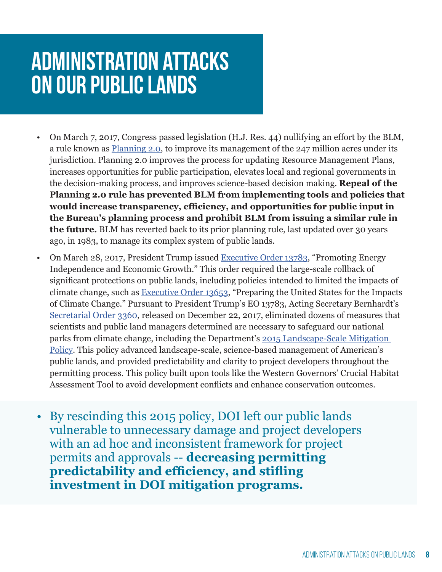#### **administration attacks on our public lands**

- On March 7, 2017, Congress passed legislation (H.J. Res. 44) nullifying an effort by the BLM, a rule known as [Planning 2.0,](https://thehill.com/blogs/pundits-blog/energy-environment/321874-congress-should-approve-blms-planning-20-initiative) to improve its management of the 247 million acres under its jurisdiction. Planning 2.0 improves the process for updating Resource Management Plans, increases opportunities for public participation, elevates local and regional governments in the decision-making process, and improves science-based decision making. **Repeal of the Planning 2.0 rule has prevented BLM from implementing tools and policies that would increase transparency, efficiency, and opportunities for public input in the Bureau's planning process and prohibit BLM from issuing a similar rule in the future.** BLM has reverted back to its prior planning rule, last updated over 30 years ago, in 1983, to manage its complex system of public lands.
- On March 28, 2017, President Trump issued [Executive Order 13783](https://www.federalregister.gov/documents/2017/03/31/2017-06576/promoting-energy-independence-and-economic-growth), "Promoting Energy Independence and Economic Growth." This order required the large-scale rollback of significant protections on public lands, including policies intended to limited the impacts of climate change, such as [Executive Order 13653](https://www.federalregister.gov/documents/2013/11/06/2013-26785/preparing-the-united-states-for-the-impacts-of-climate-change), "Preparing the United States for the Impacts of Climate Change." Pursuant to President Trump's EO 13783, Acting Secretary Bernhardt's [Secretarial Order 3360](https://www.eenews.net/assets/2018/01/05/document_gw_04.pdf), released on December 22, 2017, eliminated dozens of measures that scientists and public land managers determined are necessary to safeguard our national parks from climate change, including the Department's [2015 Landscape-Scale Mitigation](https://www.doi.gov/sites/doi.gov/files/uploads/TRS and Chapter FINAL.pdf)  [Policy.](https://www.doi.gov/sites/doi.gov/files/uploads/TRS and Chapter FINAL.pdf) This policy advanced landscape-scale, science-based management of American's public lands, and provided predictability and clarity to project developers throughout the permitting process. This policy built upon tools like the Western Governors' Crucial Habitat Assessment Tool to avoid development conflicts and enhance conservation outcomes.
- By rescinding this 2015 policy, DOI left our public lands vulnerable to unnecessary damage and project developers with an ad hoc and inconsistent framework for project permits and approvals -- **decreasing permitting predictability and efficiency, and stifling investment in DOI mitigation programs.**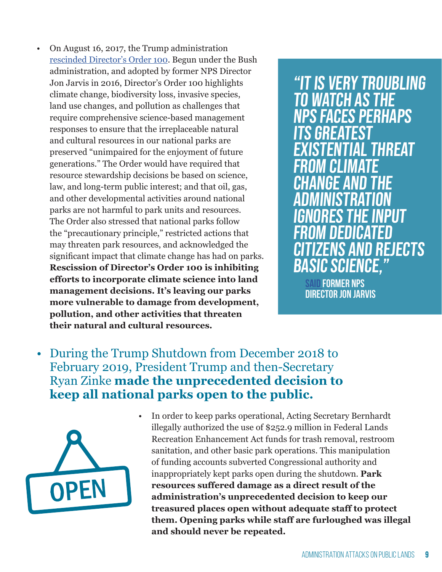• On August 16, 2017, the Trump administration [rescinded Director's Order 100.](https://www.revealnews.org/blog/top-interior-officials-ordered-parks-to-end-science-policy-emails-show/) Begun under the Bush administration, and adopted by former NPS Director Jon Jarvis in 2016, Director's Order 100 highlights climate change, biodiversity loss, invasive species, land use changes, and pollution as challenges that require comprehensive science-based management responses to ensure that the irreplaceable natural and cultural resources in our national parks are preserved "unimpaired for the enjoyment of future generations." The Order would have required that resource stewardship decisions be based on science, law, and long-term public interest; and that oil, gas, and other developmental activities around national parks are not harmful to park units and resources. The Order also stressed that national parks follow the "precautionary principle," restricted actions that may threaten park resources, and acknowledged the significant impact that climate change has had on parks. **Rescission of Director's Order 100 is inhibiting efforts to incorporate climate science into land management decisions. It's leaving our parks more vulnerable to damage from development, pollution, and other activities that threaten their natural and cultural resources.** 

"It is very troubling to watch as the NPS faces perhaps its greatest **THREAT** from climate change and the administration ignores the input from dedicated IS AND REJECTS **ISIC SCIENCE.** 

**[said f](https://www.eenews.net/stories/1060071205)ormer NPS director jon jarvis**

• During the Trump Shutdown from December 2018 to February 2019, President Trump and then-Secretary Ryan Zinke **made the unprecedented decision to keep all national parks open to the public.** 



• In order to keep parks operational, Acting Secretary Bernhardt illegally authorized the use of \$252.9 million in Federal Lands Recreation Enhancement Act funds for trash removal, restroom sanitation, and other basic park operations. This manipulation of funding accounts subverted Congressional authority and inappropriately kept parks open during the shutdown. **Park resources suffered damage as a direct result of the administration's unprecedented decision to keep our treasured places open without adequate staff to protect them. Opening parks while staff are furloughed was illegal and should never be repeated.**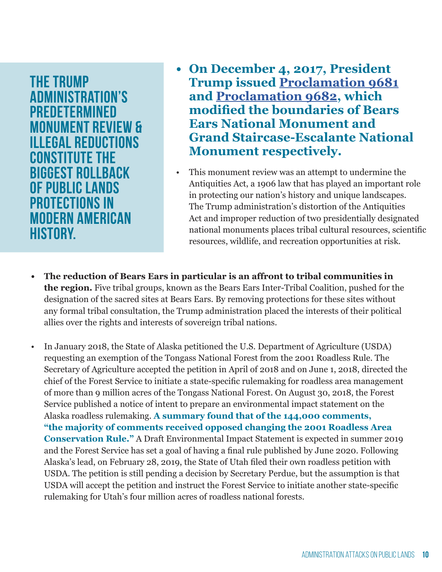**The Trump Administration's predetermined monument review & illegal reductions constitute the biggest rollback of public lands protections in modern American history.**

- **• On December 4, 2017, President Trump issued [Proclamation 9681](https://www.govinfo.gov/content/pkg/FR-2017-12-08/pdf/2017-26709.pdf) and [Proclamation 9682](https://www.govinfo.gov/content/pkg/FR-2017-12-08/pdf/2017-26714.pdf), which modified the boundaries of Bears Ears National Monument and Grand Staircase-Escalante National Monument respectively.**
- This monument review was an attempt to undermine the Antiquities Act, a 1906 law that has played an important role in protecting our nation's history and unique landscapes. The Trump administration's distortion of the Antiquities Act and improper reduction of two presidentially designated national monuments places tribal cultural resources, scientific resources, wildlife, and recreation opportunities at risk.
- **• The reduction of Bears Ears in particular is an affront to tribal communities in the region.** Five tribal groups, known as the Bears Ears Inter-Tribal Coalition, pushed for the designation of the sacred sites at Bears Ears. By removing protections for these sites without any formal tribal consultation, the Trump administration placed the interests of their political allies over the rights and interests of sovereign tribal nations.
- In January 2018, the State of Alaska petitioned the U.S. Department of Agriculture (USDA) requesting an exemption of the Tongass National Forest from the 2001 Roadless Rule. The Secretary of Agriculture accepted the petition in April of 2018 and on June 1, 2018, directed the chief of the Forest Service to initiate a state-specific rulemaking for roadless area management of more than 9 million acres of the Tongass National Forest. On August 30, 2018, the Forest Service published a notice of intent to prepare an environmental impact statement on the Alaska roadless rulemaking. **A summary found that of the 144,000 comments, "the majority of comments received opposed changing the 2001 Roadless Area Conservation Rule."** A Draft Environmental Impact Statement is expected in summer 2019 and the Forest Service has set a goal of having a final rule published by June 2020. Following Alaska's lead, on February 28, 2019, the State of Utah filed their own roadless petition with USDA. The petition is still pending a decision by Secretary Perdue, but the assumption is that USDA will accept the petition and instruct the Forest Service to initiate another state-specific rulemaking for Utah's four million acres of roadless national forests.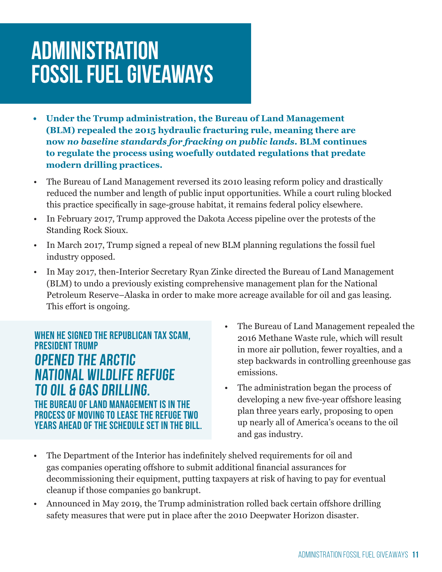#### **Administration fossil fuel giveaways**

- **• Under the Trump administration, the Bureau of Land Management (BLM) repealed the 2015 hydraulic fracturing rule, meaning there are now** *no baseline standards for fracking on public lands***. BLM continues to regulate the process using woefully outdated regulations that predate modern drilling practices.**
- The Bureau of Land Management reversed its 2010 leasing reform policy and drastically reduced the number and length of public input opportunities. While a court ruling blocked this practice specifically in sage-grouse habitat, it remains federal policy elsewhere.
- In February 2017, Trump approved the Dakota Access pipeline over the protests of the Standing Rock Sioux.
- In March 2017, Trump signed a repeal of new BLM planning regulations the fossil fuel industry opposed.
- In May 2017, then-Interior Secretary Ryan Zinke directed the Bureau of Land Management (BLM) to undo a previously existing comprehensive management plan for the National Petroleum Reserve–Alaska in order to make more acreage available for oil and gas leasing. This effort is ongoing.

When he signed the Republican tax scam, President Trump **opened the Arctic National Wildlife Refuge to oil & gas drilling. the Bureau of Land Management is in the process of moving to lease the Refuge two years ahead of the schedule set in the bill.**

- The Bureau of Land Management repealed the 2016 Methane Waste rule, which will result in more air pollution, fewer royalties, and a step backwards in controlling greenhouse gas emissions.
- The administration began the process of developing a new five-year offshore leasing plan three years early, proposing to open up nearly all of America's oceans to the oil and gas industry.
- The Department of the Interior has indefinitely shelved requirements for oil and gas companies operating offshore to submit additional financial assurances for decommissioning their equipment, putting taxpayers at risk of having to pay for eventual cleanup if those companies go bankrupt.
- Announced in May 2019, the Trump administration rolled back certain offshore drilling safety measures that were put in place after the 2010 Deepwater Horizon disaster.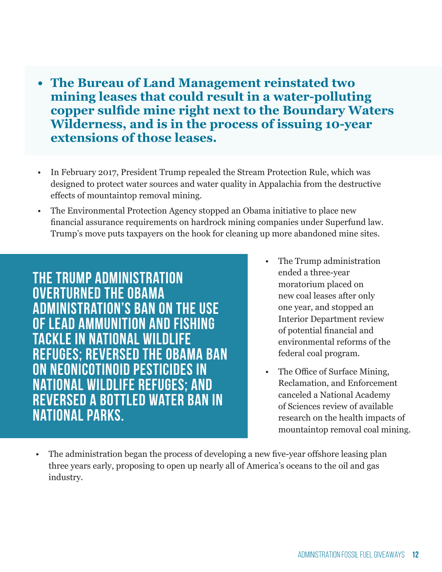- **• The Bureau of Land Management reinstated two mining leases that could result in a water-polluting copper sulfide mine right next to the Boundary Waters Wilderness, and is in the process of issuing 10-year extensions of those leases.**
- In February 2017, President Trump repealed the Stream Protection Rule, which was designed to protect water sources and water quality in Appalachia from the destructive effects of mountaintop removal mining.
- The Environmental Protection Agency stopped an Obama initiative to place new financial assurance requirements on hardrock mining companies under Superfund law. Trump's move puts taxpayers on the hook for cleaning up more abandoned mine sites.

**The Trump administration overturned the Obama administration's ban on the use of lead ammunition and fishing tackle in National Wildlife Refuges; reversed the Obama ban on neonicotinoid pesticides in National Wildlife Refuges; and reversed a bottled water ban in national parks.**

- The Trump administration ended a three-year moratorium placed on new coal leases after only one year, and stopped an Interior Department review of potential financial and environmental reforms of the federal coal program.
- The Office of Surface Mining, Reclamation, and Enforcement canceled a National Academy of Sciences review of available research on the health impacts of mountaintop removal coal mining.
- The administration began the process of developing a new five-year offshore leasing plan three years early, proposing to open up nearly all of America's oceans to the oil and gas industry.